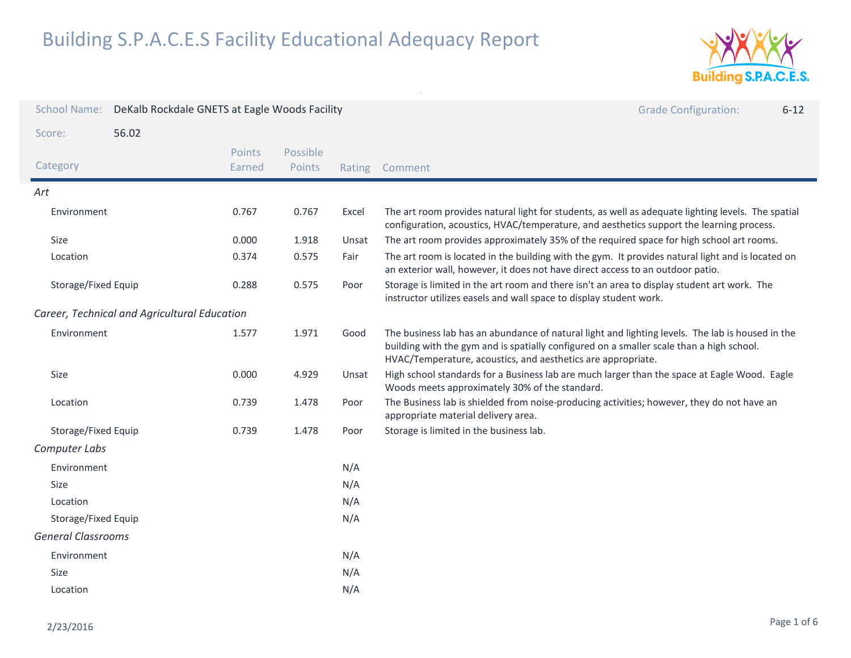

| <b>School Name:</b>       | DeKalb Rockdale GNETS at Eagle Woods Facility |                  |                    |        | <b>Grade Configuration:</b><br>$6 - 12$                                                                                                                                                                                                                      |
|---------------------------|-----------------------------------------------|------------------|--------------------|--------|--------------------------------------------------------------------------------------------------------------------------------------------------------------------------------------------------------------------------------------------------------------|
| Score:                    | 56.02                                         |                  |                    |        |                                                                                                                                                                                                                                                              |
| Category                  |                                               | Points<br>Earned | Possible<br>Points | Rating | Comment                                                                                                                                                                                                                                                      |
| Art                       |                                               |                  |                    |        |                                                                                                                                                                                                                                                              |
| Environment               |                                               | 0.767            | 0.767              | Excel  | The art room provides natural light for students, as well as adequate lighting levels. The spatial<br>configuration, acoustics, HVAC/temperature, and aesthetics support the learning process.                                                               |
| Size                      |                                               | 0.000            | 1.918              | Unsat  | The art room provides approximately 35% of the required space for high school art rooms.                                                                                                                                                                     |
| Location                  |                                               | 0.374            | 0.575              | Fair   | The art room is located in the building with the gym. It provides natural light and is located on<br>an exterior wall, however, it does not have direct access to an outdoor patio.                                                                          |
| Storage/Fixed Equip       |                                               | 0.288            | 0.575              | Poor   | Storage is limited in the art room and there isn't an area to display student art work. The<br>instructor utilizes easels and wall space to display student work.                                                                                            |
|                           | Career, Technical and Agricultural Education  |                  |                    |        |                                                                                                                                                                                                                                                              |
| Environment               |                                               | 1.577            | 1.971              | Good   | The business lab has an abundance of natural light and lighting levels. The lab is housed in the<br>building with the gym and is spatially configured on a smaller scale than a high school.<br>HVAC/Temperature, acoustics, and aesthetics are appropriate. |
| Size                      |                                               | 0.000            | 4.929              | Unsat  | High school standards for a Business lab are much larger than the space at Eagle Wood. Eagle<br>Woods meets approximately 30% of the standard.                                                                                                               |
| Location                  |                                               | 0.739            | 1.478              | Poor   | The Business lab is shielded from noise-producing activities; however, they do not have an<br>appropriate material delivery area.                                                                                                                            |
| Storage/Fixed Equip       |                                               | 0.739            | 1.478              | Poor   | Storage is limited in the business lab.                                                                                                                                                                                                                      |
| Computer Labs             |                                               |                  |                    |        |                                                                                                                                                                                                                                                              |
| Environment               |                                               |                  |                    | N/A    |                                                                                                                                                                                                                                                              |
| Size                      |                                               |                  |                    | N/A    |                                                                                                                                                                                                                                                              |
| Location                  |                                               |                  |                    | N/A    |                                                                                                                                                                                                                                                              |
| Storage/Fixed Equip       |                                               |                  |                    | N/A    |                                                                                                                                                                                                                                                              |
| <b>General Classrooms</b> |                                               |                  |                    |        |                                                                                                                                                                                                                                                              |
| Environment               |                                               |                  |                    | N/A    |                                                                                                                                                                                                                                                              |
| Size                      |                                               |                  |                    | N/A    |                                                                                                                                                                                                                                                              |
| Location                  |                                               |                  |                    | N/A    |                                                                                                                                                                                                                                                              |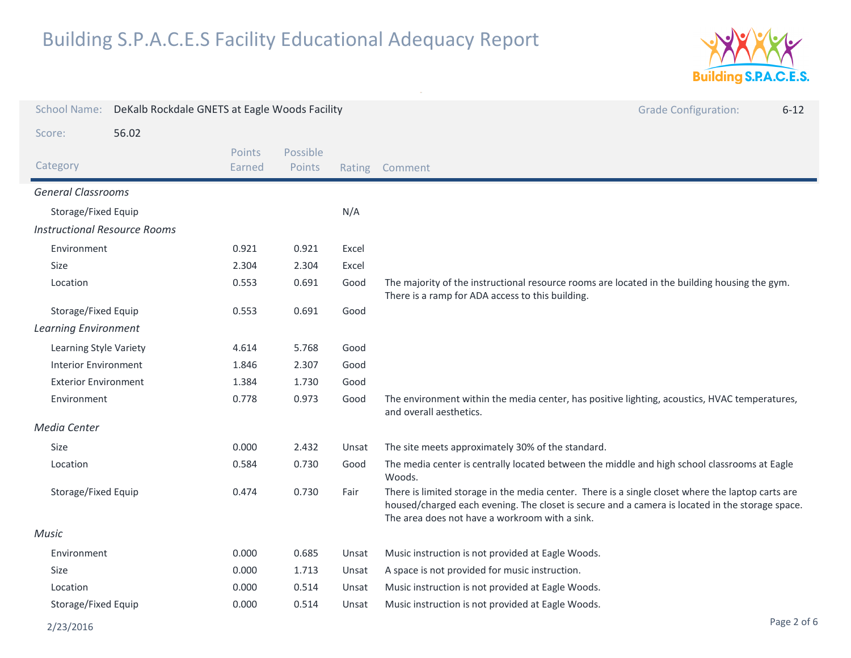

| <b>School Name:</b>                 | DeKalb Rockdale GNETS at Eagle Woods Facility |                         |                    |        | <b>Grade Configuration:</b><br>$6 - 12$                                                                                                                                                                                                                |
|-------------------------------------|-----------------------------------------------|-------------------------|--------------------|--------|--------------------------------------------------------------------------------------------------------------------------------------------------------------------------------------------------------------------------------------------------------|
| Score:                              | 56.02                                         |                         |                    |        |                                                                                                                                                                                                                                                        |
| Category                            |                                               | <b>Points</b><br>Earned | Possible<br>Points | Rating | Comment                                                                                                                                                                                                                                                |
| <b>General Classrooms</b>           |                                               |                         |                    |        |                                                                                                                                                                                                                                                        |
| Storage/Fixed Equip                 |                                               |                         |                    | N/A    |                                                                                                                                                                                                                                                        |
| <b>Instructional Resource Rooms</b> |                                               |                         |                    |        |                                                                                                                                                                                                                                                        |
| Environment                         |                                               | 0.921                   | 0.921              | Excel  |                                                                                                                                                                                                                                                        |
| <b>Size</b>                         |                                               | 2.304                   | 2.304              | Excel  |                                                                                                                                                                                                                                                        |
| Location                            |                                               | 0.553                   | 0.691              | Good   | The majority of the instructional resource rooms are located in the building housing the gym.<br>There is a ramp for ADA access to this building.                                                                                                      |
| Storage/Fixed Equip                 |                                               | 0.553                   | 0.691              | Good   |                                                                                                                                                                                                                                                        |
| <b>Learning Environment</b>         |                                               |                         |                    |        |                                                                                                                                                                                                                                                        |
| Learning Style Variety              |                                               | 4.614                   | 5.768              | Good   |                                                                                                                                                                                                                                                        |
| <b>Interior Environment</b>         |                                               | 1.846                   | 2.307              | Good   |                                                                                                                                                                                                                                                        |
| <b>Exterior Environment</b>         |                                               | 1.384                   | 1.730              | Good   |                                                                                                                                                                                                                                                        |
| Environment                         |                                               | 0.778                   | 0.973              | Good   | The environment within the media center, has positive lighting, acoustics, HVAC temperatures,<br>and overall aesthetics.                                                                                                                               |
| Media Center                        |                                               |                         |                    |        |                                                                                                                                                                                                                                                        |
| Size                                |                                               | 0.000                   | 2.432              | Unsat  | The site meets approximately 30% of the standard.                                                                                                                                                                                                      |
| Location                            |                                               | 0.584                   | 0.730              | Good   | The media center is centrally located between the middle and high school classrooms at Eagle<br>Woods.                                                                                                                                                 |
| Storage/Fixed Equip                 |                                               | 0.474                   | 0.730              | Fair   | There is limited storage in the media center. There is a single closet where the laptop carts are<br>housed/charged each evening. The closet is secure and a camera is located in the storage space.<br>The area does not have a workroom with a sink. |
| Music                               |                                               |                         |                    |        |                                                                                                                                                                                                                                                        |
| Environment                         |                                               | 0.000                   | 0.685              | Unsat  | Music instruction is not provided at Eagle Woods.                                                                                                                                                                                                      |
| Size                                |                                               | 0.000                   | 1.713              | Unsat  | A space is not provided for music instruction.                                                                                                                                                                                                         |
| Location                            |                                               | 0.000                   | 0.514              | Unsat  | Music instruction is not provided at Eagle Woods.                                                                                                                                                                                                      |
| Storage/Fixed Equip                 |                                               | 0.000                   | 0.514              | Unsat  | Music instruction is not provided at Eagle Woods.                                                                                                                                                                                                      |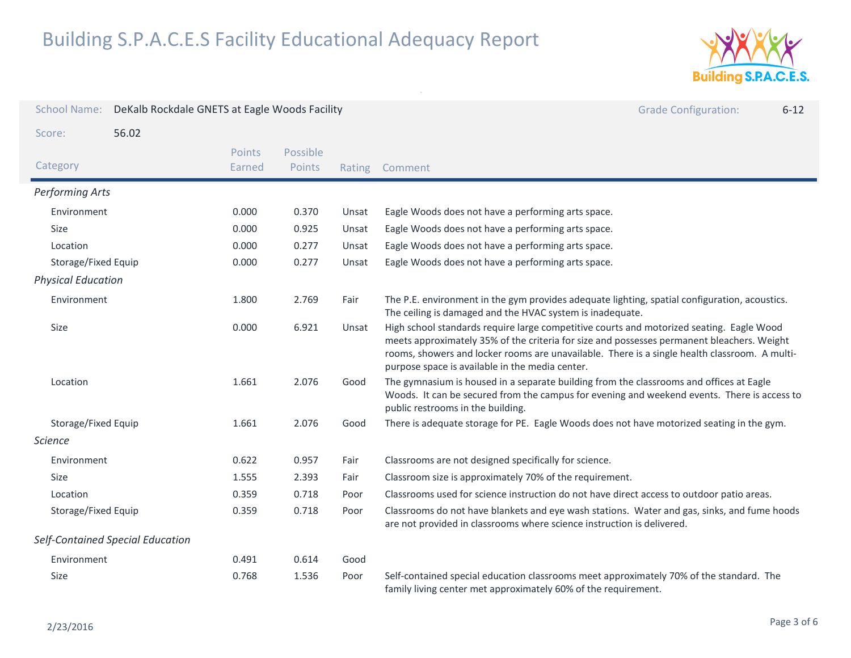

| <b>School Name:</b>       | DeKalb Rockdale GNETS at Eagle Woods Facility |                  |                    |        | <b>Grade Configuration:</b><br>$6 - 12$                                                                                                                                                                                                                                                                                                    |
|---------------------------|-----------------------------------------------|------------------|--------------------|--------|--------------------------------------------------------------------------------------------------------------------------------------------------------------------------------------------------------------------------------------------------------------------------------------------------------------------------------------------|
| Score:                    | 56.02                                         |                  |                    |        |                                                                                                                                                                                                                                                                                                                                            |
| Category                  |                                               | Points<br>Earned | Possible<br>Points | Rating | Comment                                                                                                                                                                                                                                                                                                                                    |
| <b>Performing Arts</b>    |                                               |                  |                    |        |                                                                                                                                                                                                                                                                                                                                            |
| Environment               |                                               | 0.000            | 0.370              | Unsat  | Eagle Woods does not have a performing arts space.                                                                                                                                                                                                                                                                                         |
| Size                      |                                               | 0.000            | 0.925              | Unsat  | Eagle Woods does not have a performing arts space.                                                                                                                                                                                                                                                                                         |
| Location                  |                                               | 0.000            | 0.277              | Unsat  | Eagle Woods does not have a performing arts space.                                                                                                                                                                                                                                                                                         |
| Storage/Fixed Equip       |                                               | 0.000            | 0.277              | Unsat  | Eagle Woods does not have a performing arts space.                                                                                                                                                                                                                                                                                         |
| <b>Physical Education</b> |                                               |                  |                    |        |                                                                                                                                                                                                                                                                                                                                            |
| Environment               |                                               | 1.800            | 2.769              | Fair   | The P.E. environment in the gym provides adequate lighting, spatial configuration, acoustics.<br>The ceiling is damaged and the HVAC system is inadequate.                                                                                                                                                                                 |
| Size                      |                                               | 0.000            | 6.921              | Unsat  | High school standards require large competitive courts and motorized seating. Eagle Wood<br>meets approximately 35% of the criteria for size and possesses permanent bleachers. Weight<br>rooms, showers and locker rooms are unavailable. There is a single health classroom. A multi-<br>purpose space is available in the media center. |
| Location                  |                                               | 1.661            | 2.076              | Good   | The gymnasium is housed in a separate building from the classrooms and offices at Eagle<br>Woods. It can be secured from the campus for evening and weekend events. There is access to<br>public restrooms in the building.                                                                                                                |
| Storage/Fixed Equip       |                                               | 1.661            | 2.076              | Good   | There is adequate storage for PE. Eagle Woods does not have motorized seating in the gym.                                                                                                                                                                                                                                                  |
| <b>Science</b>            |                                               |                  |                    |        |                                                                                                                                                                                                                                                                                                                                            |
| Environment               |                                               | 0.622            | 0.957              | Fair   | Classrooms are not designed specifically for science.                                                                                                                                                                                                                                                                                      |
| Size                      |                                               | 1.555            | 2.393              | Fair   | Classroom size is approximately 70% of the requirement.                                                                                                                                                                                                                                                                                    |
| Location                  |                                               | 0.359            | 0.718              | Poor   | Classrooms used for science instruction do not have direct access to outdoor patio areas.                                                                                                                                                                                                                                                  |
| Storage/Fixed Equip       |                                               | 0.359            | 0.718              | Poor   | Classrooms do not have blankets and eye wash stations. Water and gas, sinks, and fume hoods<br>are not provided in classrooms where science instruction is delivered.                                                                                                                                                                      |
|                           | Self-Contained Special Education              |                  |                    |        |                                                                                                                                                                                                                                                                                                                                            |
| Environment               |                                               | 0.491            | 0.614              | Good   |                                                                                                                                                                                                                                                                                                                                            |
| Size                      |                                               | 0.768            | 1.536              | Poor   | Self-contained special education classrooms meet approximately 70% of the standard. The<br>family living center met approximately 60% of the requirement.                                                                                                                                                                                  |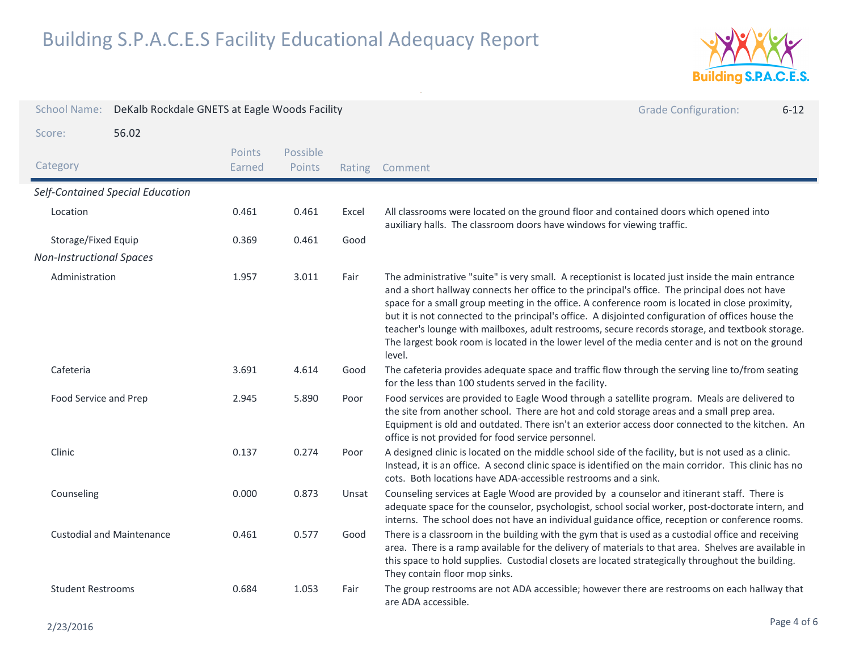

| <b>School Name:</b>             | DeKalb Rockdale GNETS at Eagle Woods Facility |                         |                           |       | <b>Grade Configuration:</b><br>$6 - 12$                                                                                                                                                                                                                                                                                                                                                                                                                                                                                                                                                                                       |
|---------------------------------|-----------------------------------------------|-------------------------|---------------------------|-------|-------------------------------------------------------------------------------------------------------------------------------------------------------------------------------------------------------------------------------------------------------------------------------------------------------------------------------------------------------------------------------------------------------------------------------------------------------------------------------------------------------------------------------------------------------------------------------------------------------------------------------|
| Score:                          | 56.02                                         |                         |                           |       |                                                                                                                                                                                                                                                                                                                                                                                                                                                                                                                                                                                                                               |
| Category                        |                                               | <b>Points</b><br>Earned | Possible<br><b>Points</b> |       | Rating Comment                                                                                                                                                                                                                                                                                                                                                                                                                                                                                                                                                                                                                |
|                                 | Self-Contained Special Education              |                         |                           |       |                                                                                                                                                                                                                                                                                                                                                                                                                                                                                                                                                                                                                               |
| Location                        |                                               | 0.461                   | 0.461                     | Excel | All classrooms were located on the ground floor and contained doors which opened into<br>auxiliary halls. The classroom doors have windows for viewing traffic.                                                                                                                                                                                                                                                                                                                                                                                                                                                               |
| Storage/Fixed Equip             |                                               | 0.369                   | 0.461                     | Good  |                                                                                                                                                                                                                                                                                                                                                                                                                                                                                                                                                                                                                               |
| <b>Non-Instructional Spaces</b> |                                               |                         |                           |       |                                                                                                                                                                                                                                                                                                                                                                                                                                                                                                                                                                                                                               |
| Administration                  |                                               | 1.957                   | 3.011                     | Fair  | The administrative "suite" is very small. A receptionist is located just inside the main entrance<br>and a short hallway connects her office to the principal's office. The principal does not have<br>space for a small group meeting in the office. A conference room is located in close proximity,<br>but it is not connected to the principal's office. A disjointed configuration of offices house the<br>teacher's lounge with mailboxes, adult restrooms, secure records storage, and textbook storage.<br>The largest book room is located in the lower level of the media center and is not on the ground<br>level. |
| Cafeteria                       |                                               | 3.691                   | 4.614                     | Good  | The cafeteria provides adequate space and traffic flow through the serving line to/from seating<br>for the less than 100 students served in the facility.                                                                                                                                                                                                                                                                                                                                                                                                                                                                     |
| Food Service and Prep           |                                               | 2.945                   | 5.890                     | Poor  | Food services are provided to Eagle Wood through a satellite program. Meals are delivered to<br>the site from another school. There are hot and cold storage areas and a small prep area.<br>Equipment is old and outdated. There isn't an exterior access door connected to the kitchen. An<br>office is not provided for food service personnel.                                                                                                                                                                                                                                                                            |
| Clinic                          |                                               | 0.137                   | 0.274                     | Poor  | A designed clinic is located on the middle school side of the facility, but is not used as a clinic.<br>Instead, it is an office. A second clinic space is identified on the main corridor. This clinic has no<br>cots. Both locations have ADA-accessible restrooms and a sink.                                                                                                                                                                                                                                                                                                                                              |
| Counseling                      |                                               | 0.000                   | 0.873                     | Unsat | Counseling services at Eagle Wood are provided by a counselor and itinerant staff. There is<br>adequate space for the counselor, psychologist, school social worker, post-doctorate intern, and<br>interns. The school does not have an individual guidance office, reception or conference rooms.                                                                                                                                                                                                                                                                                                                            |
|                                 | <b>Custodial and Maintenance</b>              | 0.461                   | 0.577                     | Good  | There is a classroom in the building with the gym that is used as a custodial office and receiving<br>area. There is a ramp available for the delivery of materials to that area. Shelves are available in<br>this space to hold supplies. Custodial closets are located strategically throughout the building.<br>They contain floor mop sinks.                                                                                                                                                                                                                                                                              |
| <b>Student Restrooms</b>        |                                               | 0.684                   | 1.053                     | Fair  | The group restrooms are not ADA accessible; however there are restrooms on each hallway that<br>are ADA accessible.                                                                                                                                                                                                                                                                                                                                                                                                                                                                                                           |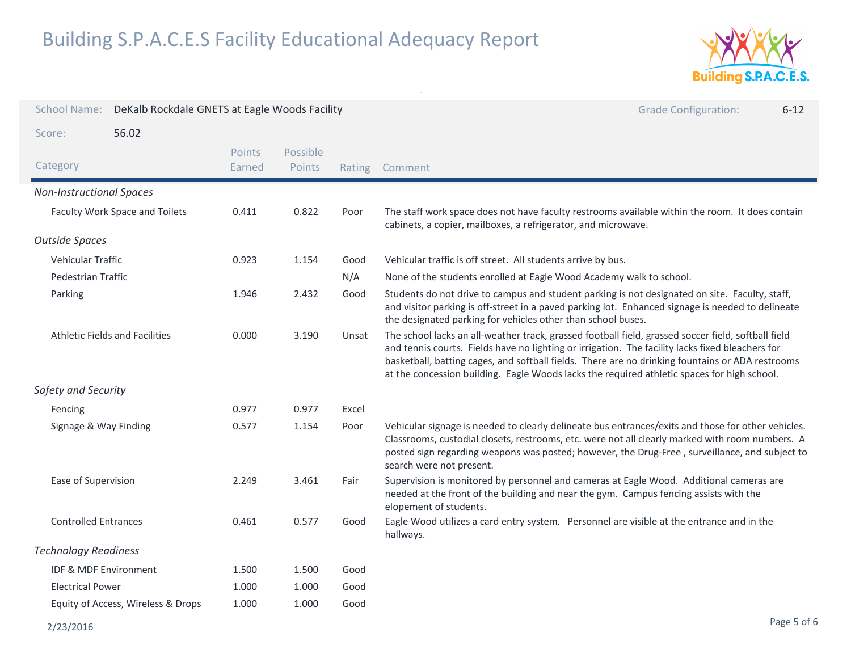

| <b>School Name:</b><br>DeKalb Rockdale GNETS at Eagle Woods Facility<br><b>Grade Configuration:</b><br>$6 - 12$<br>56.02<br>Score: |                                       |                  |                    |       |                                                                                                                                                                                                                                                                                                                                                                                                            |
|------------------------------------------------------------------------------------------------------------------------------------|---------------------------------------|------------------|--------------------|-------|------------------------------------------------------------------------------------------------------------------------------------------------------------------------------------------------------------------------------------------------------------------------------------------------------------------------------------------------------------------------------------------------------------|
|                                                                                                                                    |                                       |                  |                    |       |                                                                                                                                                                                                                                                                                                                                                                                                            |
| Category                                                                                                                           |                                       | Points<br>Earned | Possible<br>Points |       | Rating Comment                                                                                                                                                                                                                                                                                                                                                                                             |
| <b>Non-Instructional Spaces</b>                                                                                                    |                                       |                  |                    |       |                                                                                                                                                                                                                                                                                                                                                                                                            |
|                                                                                                                                    | Faculty Work Space and Toilets        | 0.411            | 0.822              | Poor  | The staff work space does not have faculty restrooms available within the room. It does contain<br>cabinets, a copier, mailboxes, a refrigerator, and microwave.                                                                                                                                                                                                                                           |
| <b>Outside Spaces</b>                                                                                                              |                                       |                  |                    |       |                                                                                                                                                                                                                                                                                                                                                                                                            |
| <b>Vehicular Traffic</b>                                                                                                           |                                       | 0.923            | 1.154              | Good  | Vehicular traffic is off street. All students arrive by bus.                                                                                                                                                                                                                                                                                                                                               |
| Pedestrian Traffic                                                                                                                 |                                       |                  |                    | N/A   | None of the students enrolled at Eagle Wood Academy walk to school.                                                                                                                                                                                                                                                                                                                                        |
| Parking                                                                                                                            |                                       | 1.946            | 2.432              | Good  | Students do not drive to campus and student parking is not designated on site. Faculty, staff,<br>and visitor parking is off-street in a paved parking lot. Enhanced signage is needed to delineate<br>the designated parking for vehicles other than school buses.                                                                                                                                        |
|                                                                                                                                    | <b>Athletic Fields and Facilities</b> | 0.000            | 3.190              | Unsat | The school lacks an all-weather track, grassed football field, grassed soccer field, softball field<br>and tennis courts. Fields have no lighting or irrigation. The facility lacks fixed bleachers for<br>basketball, batting cages, and softball fields. There are no drinking fountains or ADA restrooms<br>at the concession building. Eagle Woods lacks the required athletic spaces for high school. |
| Safety and Security                                                                                                                |                                       |                  |                    |       |                                                                                                                                                                                                                                                                                                                                                                                                            |
| Fencing                                                                                                                            |                                       | 0.977            | 0.977              | Excel |                                                                                                                                                                                                                                                                                                                                                                                                            |
| Signage & Way Finding                                                                                                              |                                       | 0.577            | 1.154              | Poor  | Vehicular signage is needed to clearly delineate bus entrances/exits and those for other vehicles.<br>Classrooms, custodial closets, restrooms, etc. were not all clearly marked with room numbers. A<br>posted sign regarding weapons was posted; however, the Drug-Free, surveillance, and subject to<br>search were not present.                                                                        |
| Ease of Supervision                                                                                                                |                                       | 2.249            | 3.461              | Fair  | Supervision is monitored by personnel and cameras at Eagle Wood. Additional cameras are<br>needed at the front of the building and near the gym. Campus fencing assists with the<br>elopement of students.                                                                                                                                                                                                 |
| <b>Controlled Entrances</b>                                                                                                        |                                       | 0.461            | 0.577              | Good  | Eagle Wood utilizes a card entry system. Personnel are visible at the entrance and in the<br>hallways.                                                                                                                                                                                                                                                                                                     |
| <b>Technology Readiness</b>                                                                                                        |                                       |                  |                    |       |                                                                                                                                                                                                                                                                                                                                                                                                            |
| <b>IDF &amp; MDF Environment</b>                                                                                                   |                                       | 1.500            | 1.500              | Good  |                                                                                                                                                                                                                                                                                                                                                                                                            |
| <b>Electrical Power</b>                                                                                                            |                                       | 1.000            | 1.000              | Good  |                                                                                                                                                                                                                                                                                                                                                                                                            |
|                                                                                                                                    | Equity of Access, Wireless & Drops    | 1.000            | 1.000              | Good  |                                                                                                                                                                                                                                                                                                                                                                                                            |
| 2/23/2016                                                                                                                          |                                       |                  |                    |       | Page 5 of 6                                                                                                                                                                                                                                                                                                                                                                                                |